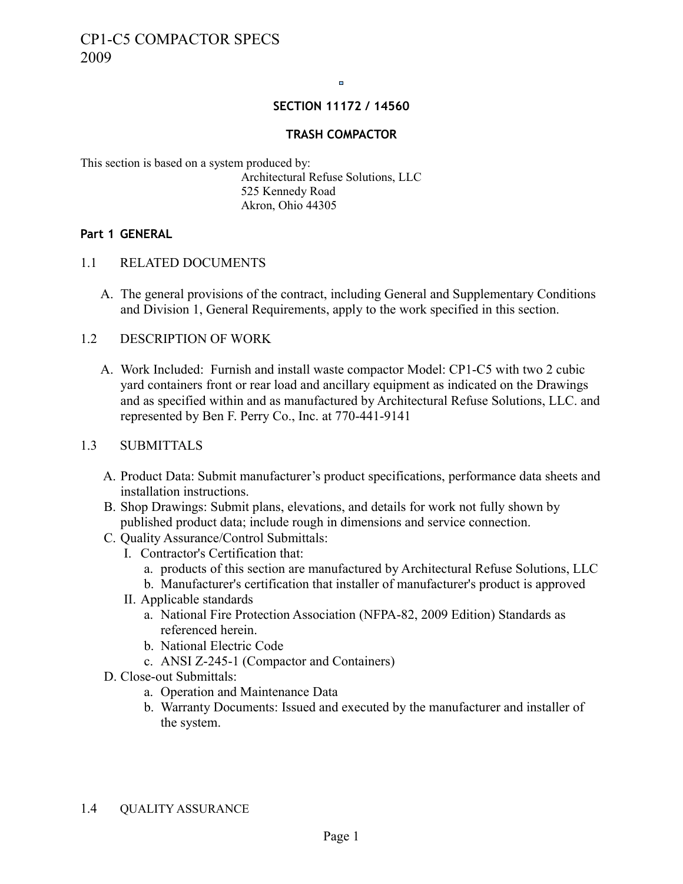$\blacksquare$ 

## **SECTION 11172 / 14560**

## **TRASH COMPACTOR**

This section is based on a system produced by: Architectural Refuse Solutions, LLC 525 Kennedy Road Akron, Ohio 44305

## **Part 1 GENERAL**

- 1.1 RELATED DOCUMENTS
	- A. The general provisions of the contract, including General and Supplementary Conditions and Division 1, General Requirements, apply to the work specified in this section.
- 1.2 DESCRIPTION OF WORK
	- A. Work Included: Furnish and install waste compactor Model: CP1-C5 with two 2 cubic yard containers front or rear load and ancillary equipment as indicated on the Drawings and as specified within and as manufactured by Architectural Refuse Solutions, LLC. and represented by Ben F. Perry Co., Inc. at 770-441-9141

## 1.3 SUBMITTALS

- A. Product Data: Submit manufacturer's product specifications, performance data sheets and installation instructions.
- B. Shop Drawings: Submit plans, elevations, and details for work not fully shown by published product data; include rough in dimensions and service connection.
- C. Quality Assurance/Control Submittals:
	- I. Contractor's Certification that:
		- a. products of this section are manufactured by Architectural Refuse Solutions, LLC
		- b. Manufacturer's certification that installer of manufacturer's product is approved
	- II. Applicable standards
		- a. National Fire Protection Association (NFPA-82, 2009 Edition) Standards as referenced herein.
		- b. National Electric Code
		- c. ANSI Z-245-1 (Compactor and Containers)
- D. Close-out Submittals:
	- a. Operation and Maintenance Data
	- b. Warranty Documents: Issued and executed by the manufacturer and installer of the system.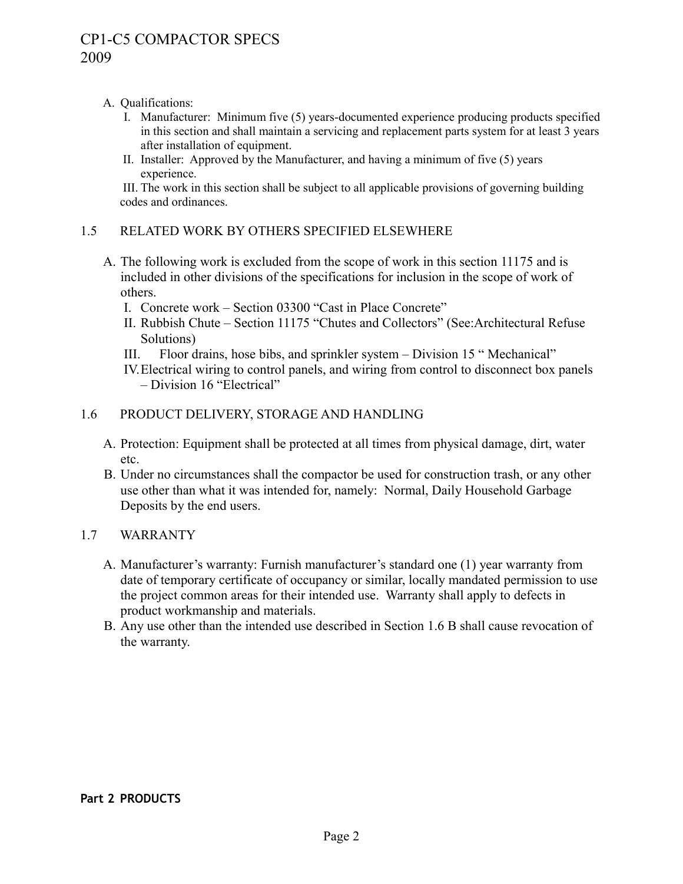# A. Qualifications:

- I. Manufacturer: Minimum five (5) years-documented experience producing products specified in this section and shall maintain a servicing and replacement parts system for at least 3 years after installation of equipment.
- II. Installer: Approved by the Manufacturer, and having a minimum of five (5) years experience.

 III. The work in this section shall be subject to all applicable provisions of governing building codes and ordinances.

# 1.5 RELATED WORK BY OTHERS SPECIFIED ELSEWHERE

- A. The following work is excluded from the scope of work in this section 11175 and is included in other divisions of the specifications for inclusion in the scope of work of others.
	- I. Concrete work Section 03300 "Cast in Place Concrete"
	- II. Rubbish Chute Section 11175 "Chutes and Collectors" (See:Architectural Refuse Solutions)
	- III. Floor drains, hose bibs, and sprinkler system Division 15 " Mechanical"
	- IV.Electrical wiring to control panels, and wiring from control to disconnect box panels – Division 16 "Electrical"

# 1.6 PRODUCT DELIVERY, STORAGE AND HANDLING

- A. Protection: Equipment shall be protected at all times from physical damage, dirt, water etc.
- B. Under no circumstances shall the compactor be used for construction trash, or any other use other than what it was intended for, namely: Normal, Daily Household Garbage Deposits by the end users.

# 1.7 WARRANTY

- A. Manufacturer's warranty: Furnish manufacturer's standard one (1) year warranty from date of temporary certificate of occupancy or similar, locally mandated permission to use the project common areas for their intended use. Warranty shall apply to defects in product workmanship and materials.
- B. Any use other than the intended use described in Section 1.6 B shall cause revocation of the warranty.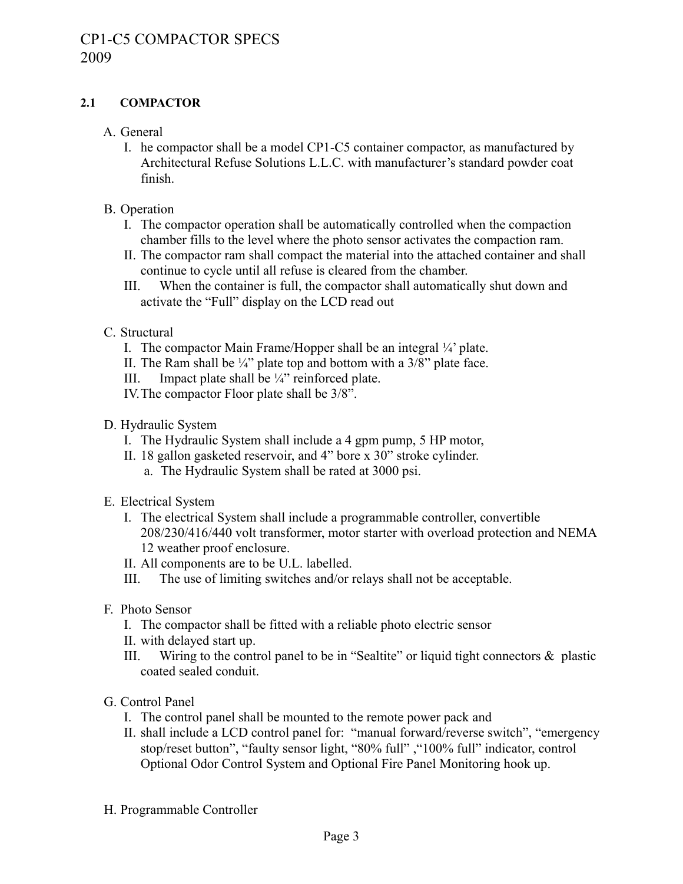# **2.1 COMPACTOR**

- A. General
	- I. he compactor shall be a model CP1-C5 container compactor, as manufactured by Architectural Refuse Solutions L.L.C. with manufacturer's standard powder coat finish.
- B. Operation
	- I. The compactor operation shall be automatically controlled when the compaction chamber fills to the level where the photo sensor activates the compaction ram.
	- II. The compactor ram shall compact the material into the attached container and shall continue to cycle until all refuse is cleared from the chamber.
	- III. When the container is full, the compactor shall automatically shut down and activate the "Full" display on the LCD read out
- C. Structural
	- I. The compactor Main Frame/Hopper shall be an integral ¼' plate.
	- II. The Ram shall be  $\frac{1}{4}$ " plate top and bottom with a  $\frac{3}{8}$ " plate face.
	- III. Impact plate shall be  $\frac{1}{4}$ " reinforced plate.
	- IV.The compactor Floor plate shall be 3/8".
- D. Hydraulic System
	- I. The Hydraulic System shall include a 4 gpm pump, 5 HP motor,
	- II. 18 gallon gasketed reservoir, and 4" bore x 30" stroke cylinder.
		- a. The Hydraulic System shall be rated at 3000 psi.
- E. Electrical System
	- I. The electrical System shall include a programmable controller, convertible 208/230/416/440 volt transformer, motor starter with overload protection and NEMA 12 weather proof enclosure.
	- II. All components are to be U.L. labelled.
	- III. The use of limiting switches and/or relays shall not be acceptable.
- F. Photo Sensor
	- I. The compactor shall be fitted with a reliable photo electric sensor
	- II. with delayed start up.
	- III. Wiring to the control panel to be in "Sealtite" or liquid tight connectors & plastic coated sealed conduit.
- G. Control Panel
	- I. The control panel shall be mounted to the remote power pack and
	- II. shall include a LCD control panel for: "manual forward/reverse switch", "emergency stop/reset button", "faulty sensor light, "80% full" ,"100% full" indicator, control Optional Odor Control System and Optional Fire Panel Monitoring hook up.
- H. Programmable Controller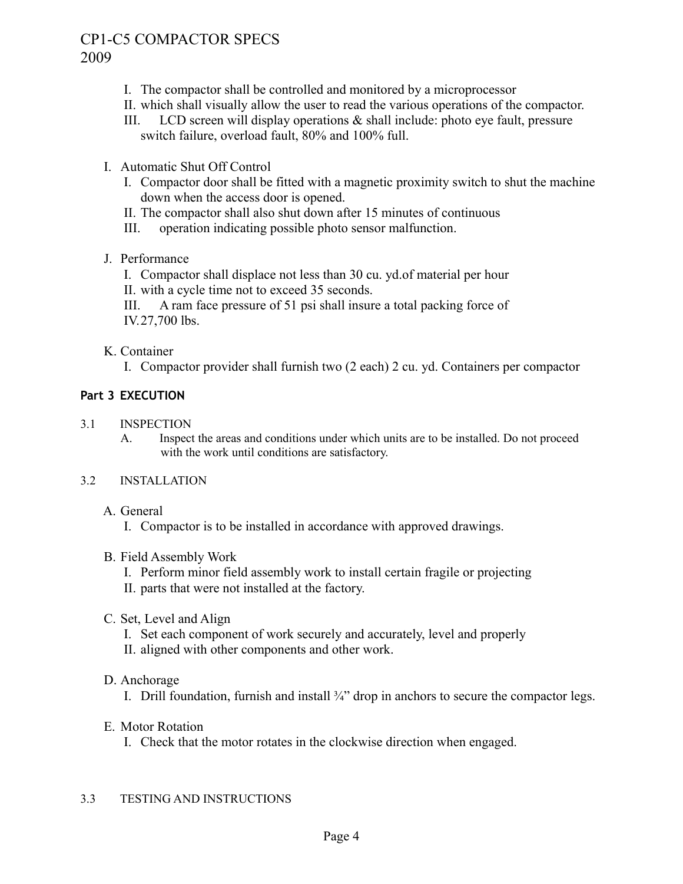# CP1-C5 COMPACTOR SPECS 2009

- I. The compactor shall be controlled and monitored by a microprocessor
- II. which shall visually allow the user to read the various operations of the compactor.
- III. LCD screen will display operations  $\&$  shall include: photo eye fault, pressure switch failure, overload fault, 80% and 100% full.
- I. Automatic Shut Off Control
	- I. Compactor door shall be fitted with a magnetic proximity switch to shut the machine down when the access door is opened.
	- II. The compactor shall also shut down after 15 minutes of continuous
	- III. operation indicating possible photo sensor malfunction.
- J. Performance
	- I. Compactor shall displace not less than 30 cu. yd.of material per hour
	- II. with a cycle time not to exceed 35 seconds.
	- III. A ram face pressure of 51 psi shall insure a total packing force of IV.27,700 lbs.
- K. Container
	- I. Compactor provider shall furnish two (2 each) 2 cu. yd. Containers per compactor

## **Part 3 EXECUTION**

- 3.1 INSPECTION
	- A. Inspect the areas and conditions under which units are to be installed. Do not proceed with the work until conditions are satisfactory.

## 3.2 INSTALLATION

- A. General
	- I. Compactor is to be installed in accordance with approved drawings.

#### B. Field Assembly Work

- I. Perform minor field assembly work to install certain fragile or projecting
- II. parts that were not installed at the factory.
- C. Set, Level and Align
	- I. Set each component of work securely and accurately, level and properly
	- II. aligned with other components and other work.
- D. Anchorage
	- I. Drill foundation, furnish and install  $\frac{3}{4}$  drop in anchors to secure the compactor legs.
- E. Motor Rotation
	- I. Check that the motor rotates in the clockwise direction when engaged.

#### 3.3 TESTING AND INSTRUCTIONS